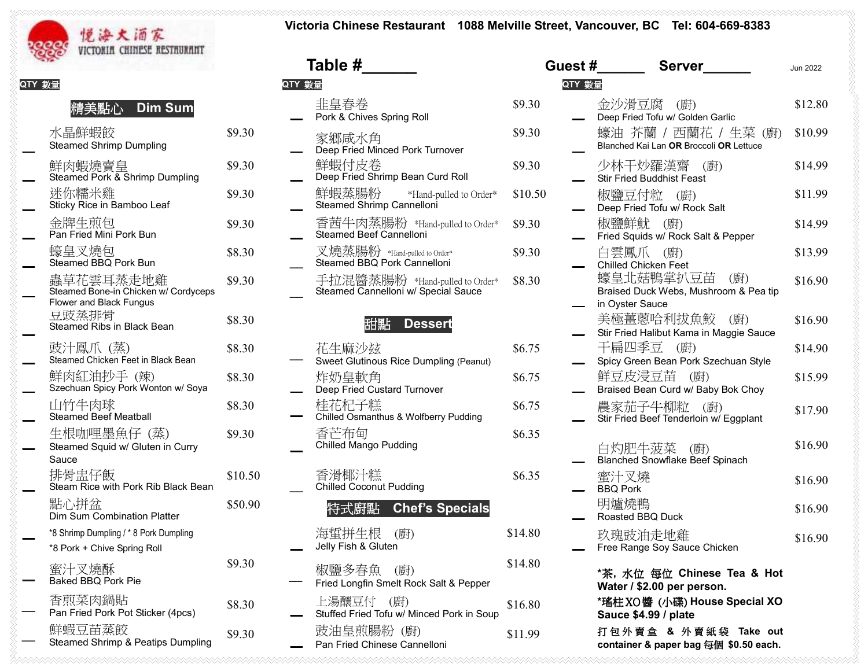**Victoria Chinese Restaurant 1088 Melville Street, Vancouver, BC Tel: 604-669-8383** 



**QTY** 數量

## 精美點心 **Dim Sum**

| 水晶鮮蝦餃<br><b>Steamed Shrimp Dumpling</b>                                      | \$9.30  | 家鄉咸水角<br>Deep Fried Mir       |
|------------------------------------------------------------------------------|---------|-------------------------------|
| 鮮肉蝦燒賣皇<br>Steamed Pork & Shrimp Dumpling                                     | \$9.30  | 鮮蝦付皮卷<br>Deep Fried Sh        |
| 迷你糯米雞<br>Sticky Rice in Bamboo Leaf                                          | \$9.30  | 鮮蝦蒸腸粉<br><b>Steamed Shrin</b> |
| 金牌生煎包<br>Pan Fried Mini Pork Bun                                             | \$9.30  | 香茜牛肉蒸<br><b>Steamed Beef</b>  |
| 蠔皇叉燒包<br>Steamed BBQ Pork Bun                                                | \$8.30  | 叉燒蒸腸粉<br>Steamed BBQ          |
| 蟲草花雲耳蒸走地雞<br>Steamed Bone-in Chicken w/ Cordyceps<br>Flower and Black Fungus | \$9.30  | 手拉混醬蒸<br>Steamed Cann         |
| 豆豉蒸排骨<br>Steamed Ribs in Black Bean                                          | \$8.30  | 甜                             |
| 豉汁鳳爪 (蒸)<br>Steamed Chicken Feet in Black Bean                               | \$8.30  | 花生麻沙兹<br>Sweet Glutinou       |
| 鮮肉紅油抄手 (辣)<br>Szechuan Spicy Pork Wonton w/ Soya                             | \$8.30  | 炸奶皇軟角<br>Deep Fried Cu        |
| 山竹牛肉球<br><b>Steamed Beef Meatball</b>                                        | \$8.30  | 桂花杞子糕<br>Chilled Osmant       |
| 生根咖哩墨魚仔(蒸)<br>Steamed Squid w/ Gluten in Curry<br>Sauce                      | \$9.30  | 香芒布甸<br>Chilled Mango         |
| 排骨盅仔飯<br>Steam Rice with Pork Rib Black Bean                                 | \$10.50 | 香滑椰汁糕<br>Chilled Coconu       |
| 點心拼盆<br><b>Dim Sum Combination Platter</b>                                   | \$50.90 | 特式廚點                          |
| *8 Shrimp Dumpling / * 8 Pork Dumpling<br>*8 Pork + Chive Spring Roll        |         | 海蜇拼生根<br>Jelly Fish & Gli     |
| 蜜汁叉燒酥<br>Baked BBQ Pork Pie                                                  | \$9.30  | 椒鹽多春魚<br>Fried Longfin S      |
| 香煎菜肉鍋貼<br>Pan Fried Pork Pot Sticker (4pcs)                                  | \$8.30  | 上湯釀豆付<br>Stuffed Fried To     |
| 鮮蝦豆苗蒸餃<br>Steamed Shrimp & Peatips Dumpling                                  | \$9.30  | 豉油皇煎腸<br>Pan Fried Chin       |

|                                                                              |         | 1900T                                                                 | שט $\sigma$ טע | וסט וסט                                                                  |
|------------------------------------------------------------------------------|---------|-----------------------------------------------------------------------|----------------|--------------------------------------------------------------------------|
| TY 數量                                                                        |         | QTY 數量                                                                | QTY 數量         |                                                                          |
| <b>Dim Sum</b><br>精美點心                                                       |         | 韭皇春卷<br>Pork & Chives Spring Roll                                     | \$9.30         | 金沙滑豆腐<br>(廚)<br>Deep Fried Tofu w/ Golden Garlic                         |
| 水晶鮮蝦餃<br><b>Steamed Shrimp Dumpling</b>                                      | \$9.30  | 家鄉咸水角<br>Deep Fried Minced Pork Turnover                              | \$9.30         | 蠔油 芥蘭 / 西蘭花 / 生菜<br>Blanched Kai Lan OR Broccoli OR Lettuce              |
| 鮮肉蝦燒賣皇<br>Steamed Pork & Shrimp Dumpling                                     | \$9.30  | 鮮蝦付皮卷<br>Deep Fried Shrimp Bean Curd Roll                             | \$9.30         | 少林干炒羅漢齋<br>(廚)<br>Stir Fried Buddhist Feast                              |
| 迷你糯米雞<br>Sticky Rice in Bamboo Leaf                                          | \$9.30  | 鮮蝦蒸腸粉<br>*Hand-pulled to Order*<br>Steamed Shrimp Cannelloni          | \$10.50        | 椒鹽豆付粒 (廚)<br>Deep Fried Tofu w/ Rock Salt                                |
| 金牌生煎包<br>Pan Fried Mini Pork Bun                                             | \$9.30  | 香茜牛肉蒸腸粉 *Hand-pulled to Order*<br>Steamed Beef Cannelloni             | \$9.30         | 椒鹽鮮魷 (廚)<br>Fried Squids w/ Rock Salt & Pepper                           |
| 蠔皇叉燒包<br>Steamed BBQ Pork Bun                                                | \$8.30  | 叉燒蒸腸粉 *Hand-pulled to Order*<br>Steamed BBQ Pork Cannelloni           | \$9.30         | 白雲鳳爪 (廚)<br><b>Chilled Chicken Feet</b>                                  |
| 蟲草花雲耳蒸走地雞<br>Steamed Bone-in Chicken w/ Cordyceps<br>Flower and Black Fungus | \$9.30  | 手拉混醬蒸腸粉 *Hand-pulled to Order*<br>Steamed Cannelloni w/ Special Sauce | \$8.30         | 蠔皇北菇鴨掌扒豆苗<br>(廚)<br>Braised Duck Webs, Mushroom & Pea<br>in Oyster Sauce |
| 豆豉蒸排骨<br>Steamed Ribs in Black Bean                                          | \$8.30  | 甜點<br><b>Dessert</b>                                                  |                | 美極薑蔥哈利拔魚鮫<br>(廚)<br>Stir Fried Halibut Kama in Maggie Sau                |
| 豉汁鳳爪 (蒸)<br>Steamed Chicken Feet in Black Bean                               | \$8.30  | 花生麻沙兹<br>Sweet Glutinous Rice Dumpling (Peanut)                       | \$6.75         | 干扁四季豆<br>(廚)<br>Spicy Green Bean Pork Szechuan Sty                       |
| 鮮肉紅油抄手 (辣)<br>Szechuan Spicy Pork Wonton w/ Soya                             | \$8.30  | 炸奶皇軟角<br>Deep Fried Custard Turnover                                  | \$6.75         | 鲜豆皮浸豆苗 (廚)<br>Braised Bean Curd w/ Baby Bok Choy                         |
| 山竹牛肉球<br><b>Steamed Beef Meatball</b>                                        | \$8.30  | 桂花杞子糕<br>Chilled Osmanthus & Wolfberry Pudding                        | \$6.75         | 農家茄子牛柳粒<br>(廚)<br>Stir Fried Beef Tenderloin w/ Eggplant                 |
| 生根咖哩墨魚仔 (蒸)<br>Steamed Squid w/ Gluten in Curry<br>Sauce                     | \$9.30  | 香芒布甸<br><b>Chilled Mango Pudding</b>                                  | \$6.35         | 白灼肥牛菠菜<br>(廚)<br>Blanched Snowflake Beef Spinach                         |
| 排骨盅仔飯<br>Steam Rice with Pork Rib Black Bean                                 | \$10.50 | 香滑椰汁糕<br><b>Chilled Coconut Pudding</b>                               | \$6.35         | 蜜汁叉燒<br><b>BBQ Pork</b>                                                  |
| 點心拼盆<br><b>Dim Sum Combination Platter</b>                                   | \$50.90 | <b>Chef's Specials</b><br>特式廚點                                        |                | 明爐燒鴨<br>Roasted BBQ Duck                                                 |
| *8 Shrimp Dumpling / * 8 Pork Dumpling<br>*8 Pork + Chive Spring Roll        |         | 海蜇拼生根<br>(廚)<br>Jelly Fish & Gluten                                   | \$14.80        | 玖瑰豉油走地雞<br>Free Range Soy Sauce Chicken                                  |
| 蜜汁叉燒酥<br>Baked BBQ Pork Pie                                                  | \$9.30  | 椒鹽多春魚<br>(廚)<br>Fried Longfin Smelt Rock Salt & Pepper                | \$14.80        | *茶, 水位 每位 Chinese Tea &<br>Water / \$2.00 per person.                    |
| 香煎菜肉鍋貼<br>Pan Fried Pork Pot Sticker (4pcs)                                  | \$8.30  | 上湯釀豆付<br>(廚)<br>Stuffed Fried Tofu w/ Minced Pork in Soup             | \$16.80        | *瑤柱 XO醬 (小碟) House Special<br>Sauce \$4.99 / plate                       |
| 鮮蝦豆苗蒸餃<br>Steamed Shrimn & Peating Dumnling                                  | \$9.30  | 豉油皇煎腸粉 (廚)                                                            | \$11.99        | 打包外賣盒 & 外賣紙袋 Take                                                        |

|                                                                              |         | Table #                                                               | Guest#  | <b>Server</b>                                                                  | Jun 2022 |
|------------------------------------------------------------------------------|---------|-----------------------------------------------------------------------|---------|--------------------------------------------------------------------------------|----------|
| TY 數量                                                                        | QTY 數量  |                                                                       | QTY 數量  |                                                                                |          |
| <b>Dim Sum</b><br>精美點心                                                       |         | 韭皇春卷<br>Pork & Chives Spring Roll                                     | \$9.30  | 金沙滑豆腐<br>(廚)<br>Deep Fried Tofu w/ Golden Garlic                               | \$12.80  |
| 水晶鮮蝦餃<br><b>Steamed Shrimp Dumpling</b>                                      | \$9.30  | 家鄉咸水角<br>Deep Fried Minced Pork Turnover                              | \$9.30  | 蠔油 芥蘭 / 西蘭花 / 生菜 (廚)<br>Blanched Kai Lan OR Broccoli OR Lettuce                | \$10.99  |
| 鮮肉蝦燒賣皇<br>Steamed Pork & Shrimp Dumpling                                     | \$9.30  | 鮮蝦付皮卷<br>Deep Fried Shrimp Bean Curd Roll                             | \$9.30  | 少林干炒羅漢齋<br>(廚)<br><b>Stir Fried Buddhist Feast</b>                             | \$14.99  |
| 迷你糯米雞<br>Sticky Rice in Bamboo Leaf                                          | \$9.30  | 鮮蝦蒸腸粉<br>*Hand-pulled to Order*<br>Steamed Shrimp Cannelloni          | \$10.50 | 椒鹽豆付粒<br>(廚)<br>Deep Fried Tofu w/ Rock Salt                                   | \$11.99  |
| 金牌生煎包<br>Pan Fried Mini Pork Bun                                             | \$9.30  | 香茜牛肉蒸腸粉 *Hand-pulled to Order*<br>Steamed Beef Cannelloni             | \$9.30  | 椒鹽鮮魷<br>(廚)<br>Fried Squids w/ Rock Salt & Pepper                              | \$14.99  |
| 蠔皇叉燒包<br>Steamed BBQ Pork Bun                                                | \$8.30  | 叉燒蒸腸粉 *Hand-pulled to Order*<br>Steamed BBQ Pork Cannelloni           | \$9.30  | 白雲鳳爪 (廚)<br>Chilled Chicken Feet                                               | \$13.99  |
| 蟲草花雲耳蒸走地雞<br>Steamed Bone-in Chicken w/ Cordyceps<br>Flower and Black Fungus | \$9.30  | 手拉混醬蒸腸粉 *Hand-pulled to Order*<br>Steamed Cannelloni w/ Special Sauce | \$8.30  | 蠔皇北菇鴨掌扒豆苗<br>(廚)<br>Braised Duck Webs, Mushroom & Pea tip                      | \$16.90  |
| 豆豉蒸排骨<br>Steamed Ribs in Black Bean                                          | \$8.30  | 甜點<br><b>Dessert</b>                                                  |         | in Oyster Sauce<br>美極薑蔥哈利拔魚鮫<br>(廚)<br>Stir Fried Halibut Kama in Maggie Sauce | \$16.90  |
| 豉汁鳳爪 (蒸)<br>Steamed Chicken Feet in Black Bean                               | \$8.30  | 花生麻沙兹<br>Sweet Glutinous Rice Dumpling (Peanut)                       | \$6.75  | 干扁四季豆 (廚)<br>Spicy Green Bean Pork Szechuan Style                              | \$14.90  |
| 鮮肉紅油抄手 (辣)<br>Szechuan Spicy Pork Wonton w/ Soya                             | \$8.30  | 炸奶皇軟角<br>Deep Fried Custard Turnover                                  | \$6.75  | 鲜豆皮浸豆苗<br>(廚)<br>Braised Bean Curd w/ Baby Bok Choy                            | \$15.99  |
| 山竹牛肉球<br><b>Steamed Beef Meatball</b>                                        | \$8.30  | 桂花杞子糕<br>Chilled Osmanthus & Wolfberry Pudding                        | \$6.75  | 農家茄子牛柳粒<br>(廚)<br>Stir Fried Beef Tenderloin w/ Eggplant                       | \$17.90  |
| 生根咖哩墨魚仔 (蒸)<br>Steamed Squid w/ Gluten in Curry<br>Sauce                     | \$9.30  | 香芒布甸<br>Chilled Mango Pudding                                         | \$6.35  | 白灼肥牛菠菜<br>(廚)<br><b>Blanched Snowflake Beef Spinach</b>                        | \$16.90  |
| 排骨盅仔飯<br>Steam Rice with Pork Rib Black Bean                                 | \$10.50 | 香滑椰汁糕<br><b>Chilled Coconut Pudding</b>                               | \$6.35  | 蜜汁叉燒<br><b>BBQ Pork</b>                                                        | \$16.90  |
| 點心拼盆<br>Dim Sum Combination Platter                                          | \$50.90 | 特式廚點<br><b>Chef's Specials</b>                                        |         | 明爐燒鴨<br>Roasted BBQ Duck                                                       | \$16.90  |
| *8 Shrimp Dumpling / * 8 Pork Dumpling<br>*8 Pork + Chive Spring Roll        |         | 海蜇拼生根<br>(廚)<br>Jelly Fish & Gluten                                   | \$14.80 | 玖瑰豉油走地雞<br>Free Range Soy Sauce Chicken                                        | \$16.90  |
| 蜜汁叉燒酥<br><b>Baked BBQ Pork Pie</b>                                           | \$9.30  | 椒鹽多春魚<br>(廚)<br>Fried Longfin Smelt Rock Salt & Pepper                | \$14.80 | *茶, 水位 每位 Chinese Tea & Hot<br>Water / \$2.00 per person.                      |          |
| 香煎菜肉鍋貼<br>Pan Fried Pork Pot Sticker (4pcs)                                  | \$8.30  | 上湯釀豆付 (廚)<br>Stuffed Fried Tofu w/ Minced Pork in Soup                | \$16.80 | *瑤柱 XO醬 (小碟) House Special XO<br>Sauce \$4.99 / plate                          |          |
| 鮮蝦豆苗蒸餃<br>Steamed Shrimp & Peatips Dumpling                                  | \$9.30  | 豉油皇煎腸粉 (廚)<br>Pan Fried Chinese Cannelloni                            | \$11.99 | 打包外賣盒 & 外賣紙袋 Take out<br>container & paper bag 每個 \$0.50 each.                 |          |